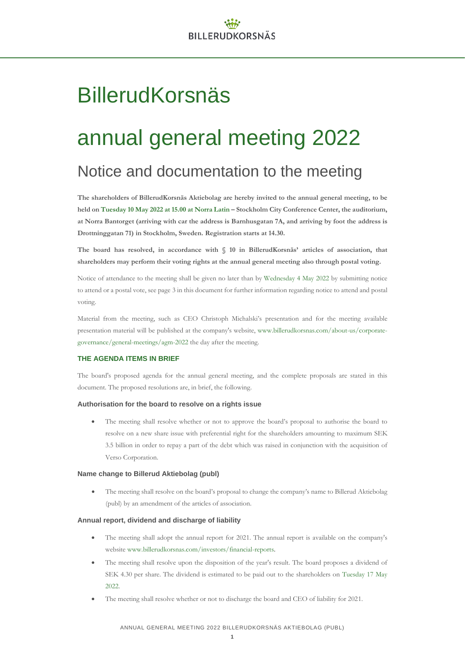# BillerudKorsnäs

# annual general meeting 2022

# Notice and documentation to the meeting

**The shareholders of BillerudKorsnäs Aktiebolag are hereby invited to the annual general meeting, to be held on Tuesday 10 May 2022 at 15.00 at Norra Latin – Stockholm City Conference Center, the auditorium, at Norra Bantorget (arriving with car the address is Barnhusgatan 7A, and arriving by foot the address is Drottninggatan 71) in Stockholm, Sweden. Registration starts at 14.30.**

**The board has resolved, in accordance with § 10 in BillerudKorsnäs' articles of association, that shareholders may perform their voting rights at the annual general meeting also through postal voting.** 

Notice of attendance to the meeting shall be given no later than by Wednesday 4 May 2022 by submitting notice to attend or a postal vote, see page 3 in this document for further information regarding notice to attend and postal voting.

Material from the meeting, such as CEO Christoph Michalski's presentation and for the meeting available presentation material will be published at the company's website, [www.billerudkorsnas.com/about-us/corporate](http://www.billerudkorsnas.com/about-us/corporate-governance/general-meetings/agm-2022)[governance/general-meetings/agm-2022](http://www.billerudkorsnas.com/about-us/corporate-governance/general-meetings/agm-2022) the day after the meeting.

### **THE AGENDA ITEMS IN BRIEF**

The board's proposed agenda for the annual general meeting, and the complete proposals are stated in this document. The proposed resolutions are, in brief, the following.

### **Authorisation for the board to resolve on a rights issue**

• The meeting shall resolve whether or not to approve the board's proposal to authorise the board to resolve on a new share issue with preferential right for the shareholders amounting to maximum SEK 3.5 billion in order to repay a part of the debt which was raised in conjunction with the acquisition of Verso Corporation.

### **Name change to Billerud Aktiebolag (publ)**

• The meeting shall resolve on the board's proposal to change the company's name to Billerud Aktiebolag (publ) by an amendment of the articles of association.

### **Annual report, dividend and discharge of liability**

- The meeting shall adopt the annual report for 2021. The annual report is available on the company's website [www.billerudkorsnas.com/investors/financial-reports.](http://www.billerudkorsnas.com/investors/financial-reports)
- The meeting shall resolve upon the disposition of the year's result. The board proposes a dividend of SEK 4.30 per share. The dividend is estimated to be paid out to the shareholders on Tuesday 17 May 2022.
- The meeting shall resolve whether or not to discharge the board and CEO of liability for 2021.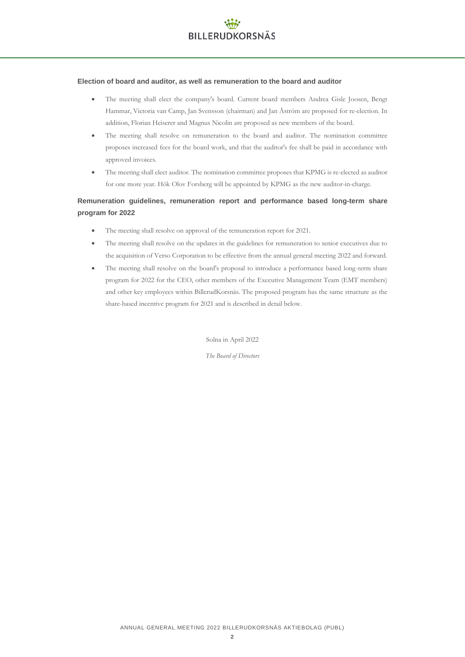### **Election of board and auditor, as well as remuneration to the board and auditor**

- The meeting shall elect the company's board. Current board members Andrea Gisle Joosen, Bengt Hammar, Victoria van Camp, Jan Svensson (chairman) and Jan Åström are proposed for re-election. In addition, Florian Heiserer and Magnus Nicolin are proposed as new members of the board.
- The meeting shall resolve on remuneration to the board and auditor. The nomination committee proposes increased fees for the board work, and that the auditor's fee shall be paid in accordance with approved invoices.
- The meeting shall elect auditor. The nomination committee proposes that KPMG is re-elected as auditor for one more year. Hök Olov Forsberg will be appointed by KPMG as the new auditor-in-charge.

### **Remuneration guidelines, remuneration report and performance based long-term share program for 2022**

- The meeting shall resolve on approval of the remuneration report for 2021.
- The meeting shall resolve on the updates in the guidelines for remuneration to senior executives due to the acquisition of Verso Corporation to be effective from the annual general meeting 2022 and forward.
- The meeting shall resolve on the board's proposal to introduce a performance based long-term share program for 2022 for the CEO, other members of the Executive Management Team (EMT members) and other key employees within BillerudKorsnäs. The proposed program has the same structure as the share-based incentive program for 2021 and is described in detail below.

Solna in April 2022

*The Board of Directors*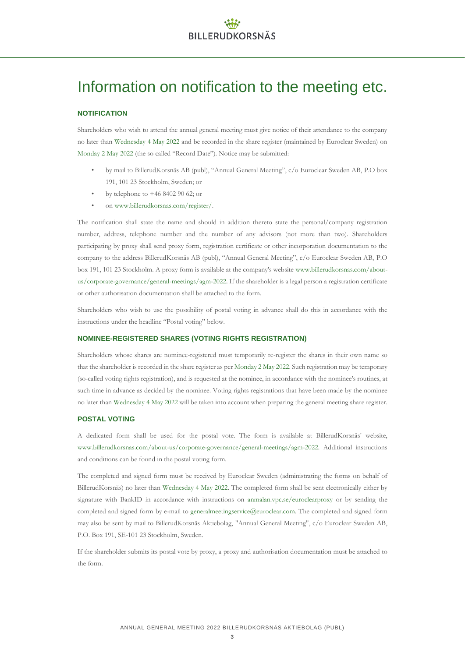# Information on notification to the meeting etc.

### **NOTIFICATION**

Shareholders who wish to attend the annual general meeting must give notice of their attendance to the company no later than Wednesday 4 May 2022 and be recorded in the share register (maintained by Euroclear Sweden) on Monday 2 May 2022 (the so called "Record Date"). Notice may be submitted:

- by mail to BillerudKorsnäs AB (publ), "Annual General Meeting", c/o Euroclear Sweden AB, P.O box 191, 101 23 Stockholm, Sweden; or
- by telephone to +46 8402 90 62; or
- o[n www.billerudkorsnas.com/register/.](http://www.billerudkorsnas.com/register/)

The notification shall state the name and should in addition thereto state the personal/company registration number, address, telephone number and the number of any advisors (not more than two). Shareholders participating by proxy shall send proxy form, registration certificate or other incorporation documentation to the company to the address BillerudKorsnäs AB (publ), "Annual General Meeting", c/o Euroclear Sweden AB, P.O box 191, 101 23 Stockholm. A proxy form is available at the company's websit[e www.billerudkorsnas.com/about](http://www.billerudkorsnas.com/about-us/corporate-governance/general-meetings/agm-2022)[us/corporate-governance/general-meetings/agm-2022.](http://www.billerudkorsnas.com/about-us/corporate-governance/general-meetings/agm-2022) If the shareholder is a legal person a registration certificate or other authorisation documentation shall be attached to the form.

Shareholders who wish to use the possibility of postal voting in advance shall do this in accordance with the instructions under the headline "Postal voting" below.

### **NOMINEE-REGISTERED SHARES (VOTING RIGHTS REGISTRATION)**

Shareholders whose shares are nominee-registered must temporarily re-register the shares in their own name so that the shareholder is recorded in the share register as per Monday 2 May 2022. Such registration may be temporary (so-called voting rights registration), and is requested at the nominee, in accordance with the nominee's routines, at such time in advance as decided by the nominee. Voting rights registrations that have been made by the nominee no later than Wednesday 4 May 2022 will be taken into account when preparing the general meeting share register.

### **POSTAL VOTING**

A dedicated form shall be used for the postal vote. The form is available at BillerudKorsnäs' website, [www.billerudkorsnas.com/about-us/corporate-governance/general-meetings/agm-2022](http://www.billerudkorsnas.com/about-us/corporate-governance/general-meetings/agm-2021). Additional instructions and conditions can be found in the postal voting form.

The completed and signed form must be received by Euroclear Sweden (administrating the forms on behalf of BillerudKorsnäs) no later than Wednesday 4 May 2022. The completed form shall be sent electronically either by signature with BankID in accordance with instructions on [anmalan.vpc.se/euroclearproxy](https://anmalan.vpc.se/euroclearproxy) or by sending the completed and signed form by e-mail to [generalmeetingservice@euroclear.com.](mailto:generalmeetingservice@euroclear.com) The completed and signed form may also be sent by mail to BillerudKorsnäs Aktiebolag, "Annual General Meeting", c/o Euroclear Sweden AB, P.O. Box 191, SE-101 23 Stockholm, Sweden.

If the shareholder submits its postal vote by proxy, a proxy and authorisation documentation must be attached to the form.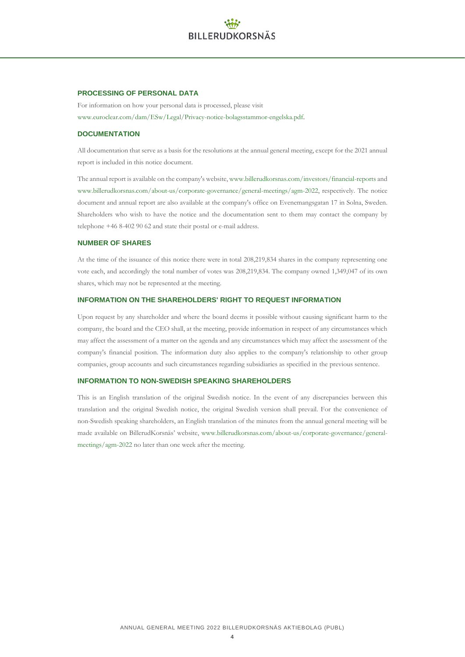### **PROCESSING OF PERSONAL DATA**

For information on how your personal data is processed, please visit www.euroclear.com/dam/ESw/Legal/Privacy-notice-bolagsstammor-engelska.pdf.

### **DOCUMENTATION**

All documentation that serve as a basis for the resolutions at the annual general meeting, except for the 2021 annual report is included in this notice document.

The annual report is available on the company's website, [www.billerudkorsnas.com/investors/financial-reports](http://www.billerudkorsnas.com/investors/financial-reports) and [www.billerudkorsnas.com/about-us/corporate-governance/general-meetings/agm-2022](http://www.billerudkorsnas.com/about-us/corporate-governance/general-meetings/agm-2021), respectively. The notice document and annual report are also available at the company's office on Evenemangsgatan 17 in Solna, Sweden. Shareholders who wish to have the notice and the documentation sent to them may contact the company by telephone +46 8-402 90 62 and state their postal or e-mail address.

### **NUMBER OF SHARES**

At the time of the issuance of this notice there were in total 208,219,834 shares in the company representing one vote each, and accordingly the total number of votes was 208,219,834. The company owned 1,349,047 of its own shares, which may not be represented at the meeting.

### **INFORMATION ON THE SHAREHOLDERS' RIGHT TO REQUEST INFORMATION**

Upon request by any shareholder and where the board deems it possible without causing significant harm to the company, the board and the CEO shall, at the meeting, provide information in respect of any circumstances which may affect the assessment of a matter on the agenda and any circumstances which may affect the assessment of the company's financial position. The information duty also applies to the company's relationship to other group companies, group accounts and such circumstances regarding subsidiaries as specified in the previous sentence.

### **INFORMATION TO NON-SWEDISH SPEAKING SHAREHOLDERS**

This is an English translation of the original Swedish notice. In the event of any discrepancies between this translation and the original Swedish notice, the original Swedish version shall prevail. For the convenience of non-Swedish speaking shareholders, an English translation of the minutes from the annual general meeting will be made available on BillerudKorsnäs' website, [www.billerudkorsnas.com/about-us/corporate-governance/general](http://www.billerudkorsnas.com/about-us/corporate-governance/general-meetings/agm-2021)[meetings/agm-2022](http://www.billerudkorsnas.com/about-us/corporate-governance/general-meetings/agm-2021) no later than one week after the meeting.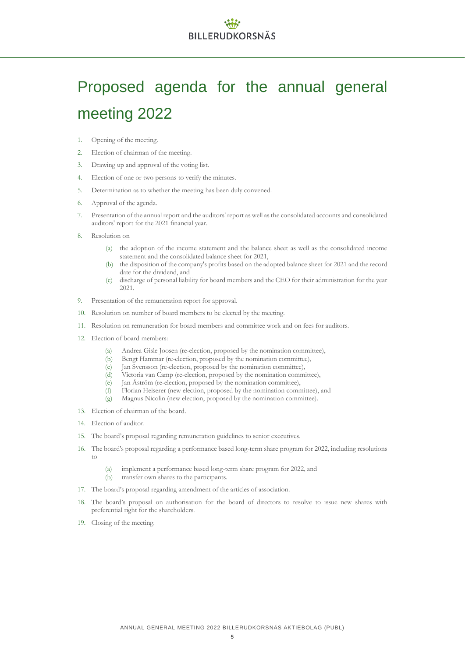# Proposed agenda for the annual general meeting 2022

- 1. Opening of the meeting.
- 2. Election of chairman of the meeting.
- 3. Drawing up and approval of the voting list.
- 4. Election of one or two persons to verify the minutes.
- 5. Determination as to whether the meeting has been duly convened.
- 6. Approval of the agenda.
- 7. Presentation of the annual report and the auditors' report as well as the consolidated accounts and consolidated auditors' report for the 2021 financial year.
- 8. Resolution on
	- (a) the adoption of the income statement and the balance sheet as well as the consolidated income statement and the consolidated balance sheet for 2021,
	- (b) the disposition of the company's profits based on the adopted balance sheet for 2021 and the record date for the dividend, and
	- (c) discharge of personal liability for board members and the CEO for their administration for the year 2021.
- 9. Presentation of the remuneration report for approval.
- 10. Resolution on number of board members to be elected by the meeting.
- 11. Resolution on remuneration for board members and committee work and on fees for auditors.
- 12. Election of board members:
	- (a) Andrea Gisle Joosen (re-election, proposed by the nomination committee),
	- (b) Bengt Hammar (re-election, proposed by the nomination committee),
	- (c) Jan Svensson (re-election, proposed by the nomination committee),
	- (d) Victoria van Camp (re-election, proposed by the nomination committee),
	- (e) Jan Åström (re-election, proposed by the nomination committee),
	- (f) Florian Heiserer (new election, proposed by the nomination committee), and
	- (g) Magnus Nicolin (new election, proposed by the nomination committee).
- 13. Election of chairman of the board.
- 14. Election of auditor.
- 15. The board's proposal regarding remuneration guidelines to senior executives.
- 16. The board's proposal regarding a performance based long-term share program for 2022, including resolutions to
	- (a) implement a performance based long-term share program for 2022, and (b) transfer own shares to the participants.
- 17. The board's proposal regarding amendment of the articles of association.
- 18. The board's proposal on authorisation for the board of directors to resolve to issue new shares with preferential right for the shareholders.
- 19. Closing of the meeting.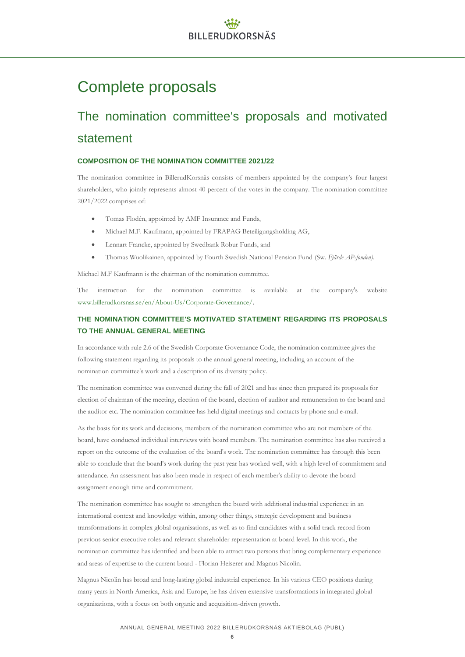# Complete proposals

# The nomination committee's proposals and motivated statement

### **COMPOSITION OF THE NOMINATION COMMITTEE 2021/22**

The nomination committee in BillerudKorsnäs consists of members appointed by the company's four largest shareholders, who jointly represents almost 40 percent of the votes in the company. The nomination committee 2021/2022 comprises of:

- Tomas Flodén, appointed by AMF Insurance and Funds,
- Michael M.F. Kaufmann, appointed by FRAPAG Beteiligungsholding AG,
- Lennart Francke, appointed by Swedbank Robur Funds, and
- Thomas Wuolikainen, appointed by Fourth Swedish National Pension Fund (Sw. *Fjärde AP-fonden).*

Michael M.F Kaufmann is the chairman of the nomination committee.

The instruction for the nomination committee is available at the company's website www.billerudkorsnas.se/en/About-Us/Corporate-Governance/.

### **THE NOMINATION COMMITTEE'S MOTIVATED STATEMENT REGARDING ITS PROPOSALS TO THE ANNUAL GENERAL MEETING**

In accordance with rule 2.6 of the Swedish Corporate Governance Code, the nomination committee gives the following statement regarding its proposals to the annual general meeting, including an account of the nomination committee's work and a description of its diversity policy.

The nomination committee was convened during the fall of 2021 and has since then prepared its proposals for election of chairman of the meeting, election of the board, election of auditor and remuneration to the board and the auditor etc. The nomination committee has held digital meetings and contacts by phone and e-mail.

As the basis for its work and decisions, members of the nomination committee who are not members of the board, have conducted individual interviews with board members. The nomination committee has also received a report on the outcome of the evaluation of the board's work. The nomination committee has through this been able to conclude that the board's work during the past year has worked well, with a high level of commitment and attendance. An assessment has also been made in respect of each member's ability to devote the board assignment enough time and commitment.

The nomination committee has sought to strengthen the board with additional industrial experience in an international context and knowledge within, among other things, strategic development and business transformations in complex global organisations, as well as to find candidates with a solid track record from previous senior executive roles and relevant shareholder representation at board level. In this work, the nomination committee has identified and been able to attract two persons that bring complementary experience and areas of expertise to the current board - Florian Heiserer and Magnus Nicolin.

Magnus Nicolin has broad and long-lasting global industrial experience. In his various CEO positions during many years in North America, Asia and Europe, he has driven extensive transformations in integrated global organisations, with a focus on both organic and acquisition-driven growth.

### ANNUAL GENERAL MEETING 2022 BILLERUDKORSNÄS AKTIEBOLAG (PUBL)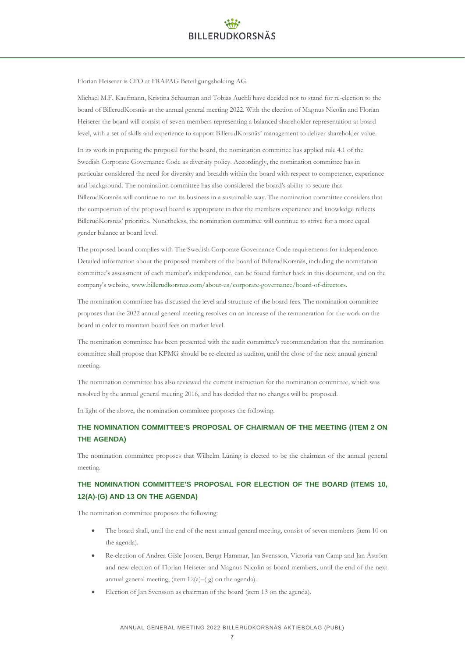Florian Heiserer is CFO at FRAPAG Beteiligungsholding AG.

Michael M.F. Kaufmann, Kristina Schauman and Tobias Auchli have decided not to stand for re-election to the board of BillerudKorsnäs at the annual general meeting 2022. With the election of Magnus Nicolin and Florian Heiserer the board will consist of seven members representing a balanced shareholder representation at board level, with a set of skills and experience to support BillerudKorsnäs' management to deliver shareholder value.

In its work in preparing the proposal for the board, the nomination committee has applied rule 4.1 of the Swedish Corporate Governance Code as diversity policy. Accordingly, the nomination committee has in particular considered the need for diversity and breadth within the board with respect to competence, experience and background. The nomination committee has also considered the board's ability to secure that BillerudKorsnäs will continue to run its business in a sustainable way. The nomination committee considers that the composition of the proposed board is appropriate in that the members experience and knowledge reflects BillerudKorsnäs' priorities. Nonetheless, the nomination committee will continue to strive for a more equal gender balance at board level.

The proposed board complies with The Swedish Corporate Governance Code requirements for independence. Detailed information about the proposed members of the board of BillerudKorsnäs, including the nomination committee's assessment of each member's independence, can be found further back in this document, and on the company's website[, www.billerudkorsnas.com/about-us/corporate-governance/board-of-directors.](http://www.billerudkorsnas.com/about-us/corporate-governance/board-of-directors) 

The nomination committee has discussed the level and structure of the board fees. The nomination committee proposes that the 2022 annual general meeting resolves on an increase of the remuneration for the work on the board in order to maintain board fees on market level.

The nomination committee has been presented with the audit committee's recommendation that the nomination committee shall propose that KPMG should be re-elected as auditor, until the close of the next annual general meeting.

The nomination committee has also reviewed the current instruction for the nomination committee, which was resolved by the annual general meeting 2016, and has decided that no changes will be proposed.

In light of the above, the nomination committee proposes the following.

### **THE NOMINATION COMMITTEE'S PROPOSAL OF CHAIRMAN OF THE MEETING (ITEM 2 ON THE AGENDA)**

The nomination committee proposes that Wilhelm Lüning is elected to be the chairman of the annual general meeting.

# **THE NOMINATION COMMITTEE'S PROPOSAL FOR ELECTION OF THE BOARD (ITEMS 10, 12(A)-(G) AND 13 ON THE AGENDA)**

The nomination committee proposes the following:

- The board shall, until the end of the next annual general meeting, consist of seven members (item 10 on the agenda).
- Re-election of Andrea Gisle Joosen, Bengt Hammar, Jan Svensson, Victoria van Camp and Jan Åström and new election of Florian Heiserer and Magnus Nicolin as board members, until the end of the next annual general meeting, (item  $12(a)$ –(g) on the agenda).
- Election of Jan Svensson as chairman of the board (item 13 on the agenda).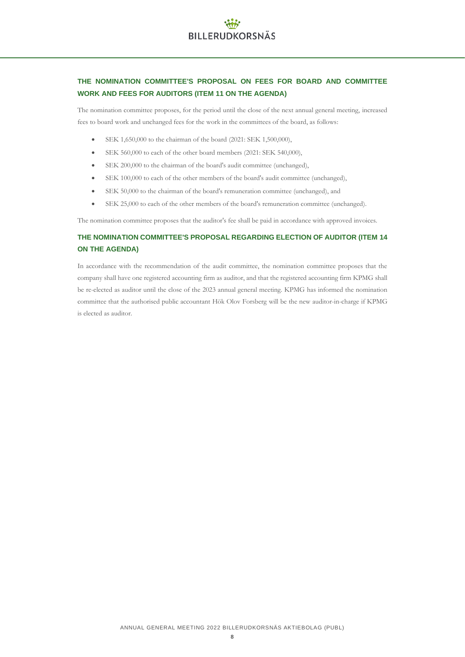## **THE NOMINATION COMMITTEE'S PROPOSAL ON FEES FOR BOARD AND COMMITTEE WORK AND FEES FOR AUDITORS (ITEM 11 ON THE AGENDA)**

The nomination committee proposes, for the period until the close of the next annual general meeting, increased fees to board work and unchanged fees for the work in the committees of the board, as follows:

- SEK 1,650,000 to the chairman of the board (2021: SEK 1,500,000),
- SEK 560,000 to each of the other board members (2021: SEK 540,000),
- SEK 200,000 to the chairman of the board's audit committee (unchanged),
- SEK 100,000 to each of the other members of the board's audit committee (unchanged),
- SEK 50,000 to the chairman of the board's remuneration committee (unchanged), and
- SEK 25,000 to each of the other members of the board's remuneration committee (unchanged).

The nomination committee proposes that the auditor's fee shall be paid in accordance with approved invoices.

## **THE NOMINATION COMMITTEE'S PROPOSAL REGARDING ELECTION OF AUDITOR (ITEM 14 ON THE AGENDA)**

In accordance with the recommendation of the audit committee, the nomination committee proposes that the company shall have one registered accounting firm as auditor, and that the registered accounting firm KPMG shall be re-elected as auditor until the close of the 2023 annual general meeting. KPMG has informed the nomination committee that the authorised public accountant Hök Olov Forsberg will be the new auditor-in-charge if KPMG is elected as auditor.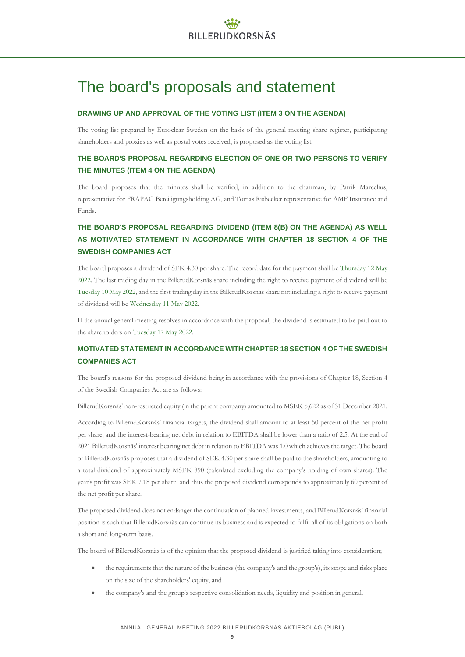# The board's proposals and statement

### **DRAWING UP AND APPROVAL OF THE VOTING LIST (ITEM 3 ON THE AGENDA)**

The voting list prepared by Euroclear Sweden on the basis of the general meeting share register, participating shareholders and proxies as well as postal votes received, is proposed as the voting list.

# **THE BOARD'S PROPOSAL REGARDING ELECTION OF ONE OR TWO PERSONS TO VERIFY THE MINUTES (ITEM 4 ON THE AGENDA)**

The board proposes that the minutes shall be verified, in addition to the chairman, by Patrik Marcelius, representative for FRAPAG Beteiligungsholding AG, and Tomas Risbecker representative for AMF Insurance and Funds.

# **THE BOARD'S PROPOSAL REGARDING DIVIDEND (ITEM 8(B) ON THE AGENDA) AS WELL AS MOTIVATED STATEMENT IN ACCORDANCE WITH CHAPTER 18 SECTION 4 OF THE SWEDISH COMPANIES ACT**

The board proposes a dividend of SEK 4.30 per share. The record date for the payment shall be Thursday 12 May 2022. The last trading day in the BillerudKorsnäs share including the right to receive payment of dividend will be Tuesday 10 May 2022, and the first trading day in the BillerudKorsnäs share not including a right to receive payment of dividend will be Wednesday 11 May 2022.

If the annual general meeting resolves in accordance with the proposal, the dividend is estimated to be paid out to the shareholders on Tuesday 17 May 2022.

### **MOTIVATED STATEMENT IN ACCORDANCE WITH CHAPTER 18 SECTION 4 OF THE SWEDISH COMPANIES ACT**

The board's reasons for the proposed dividend being in accordance with the provisions of Chapter 18, Section 4 of the Swedish Companies Act are as follows:

BillerudKorsnäs' non-restricted equity (in the parent company) amounted to MSEK 5,622 as of 31 December 2021.

According to BillerudKorsnäs' financial targets, the dividend shall amount to at least 50 percent of the net profit per share, and the interest-bearing net debt in relation to EBITDA shall be lower than a ratio of 2.5. At the end of 2021 BillerudKorsnäs' interest bearing net debt in relation to EBITDA was 1.0 which achieves the target. The board of BillerudKorsnäs proposes that a dividend of SEK 4.30 per share shall be paid to the shareholders, amounting to a total dividend of approximately MSEK 890 (calculated excluding the company's holding of own shares). The year's profit was SEK 7.18 per share, and thus the proposed dividend corresponds to approximately 60 percent of the net profit per share.

The proposed dividend does not endanger the continuation of planned investments, and BillerudKorsnäs' financial position is such that BillerudKorsnäs can continue its business and is expected to fulfil all of its obligations on both a short and long-term basis.

The board of BillerudKorsnäs is of the opinion that the proposed dividend is justified taking into consideration;

- the requirements that the nature of the business (the company's and the group's), its scope and risks place on the size of the shareholders' equity, and
- the company's and the group's respective consolidation needs, liquidity and position in general.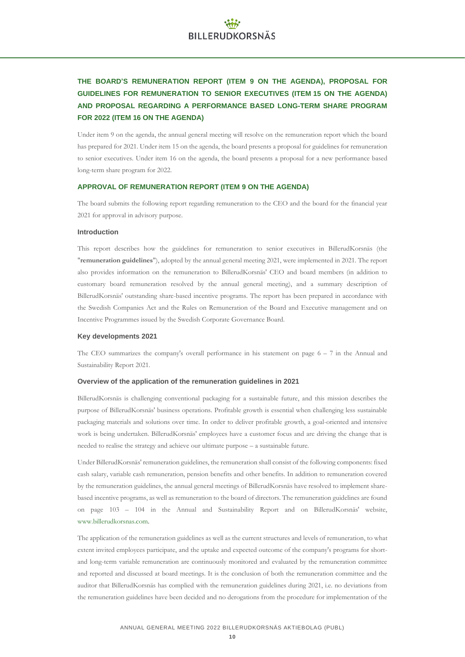# **THE BOARD'S REMUNERATION REPORT (ITEM 9 ON THE AGENDA), PROPOSAL FOR GUIDELINES FOR REMUNERATION TO SENIOR EXECUTIVES (ITEM 15 ON THE AGENDA) AND PROPOSAL REGARDING A PERFORMANCE BASED LONG-TERM SHARE PROGRAM FOR 2022 (ITEM 16 ON THE AGENDA)**

Under item 9 on the agenda, the annual general meeting will resolve on the remuneration report which the board has prepared for 2021. Under item 15 on the agenda, the board presents a proposal for guidelines for remuneration to senior executives. Under item 16 on the agenda, the board presents a proposal for a new performance based long-term share program for 2022.

### **APPROVAL OF REMUNERATION REPORT (ITEM 9 ON THE AGENDA)**

The board submits the following report regarding remuneration to the CEO and the board for the financial year 2021 for approval in advisory purpose.

### **Introduction**

This report describes how the guidelines for remuneration to senior executives in BillerudKorsnäs (the "**remuneration guidelines**"), adopted by the annual general meeting 2021, were implemented in 2021. The report also provides information on the remuneration to BillerudKorsnäs' CEO and board members (in addition to customary board remuneration resolved by the annual general meeting), and a summary description of BillerudKorsnäs' outstanding share-based incentive programs. The report has been prepared in accordance with the Swedish Companies Act and the Rules on Remuneration of the Board and Executive management and on Incentive Programmes issued by the Swedish Corporate Governance Board.

### **Key developments 2021**

The CEO summarizes the company's overall performance in his statement on page  $6 - 7$  in the Annual and Sustainability Report 2021.

### **Overview of the application of the remuneration guidelines in 2021**

BillerudKorsnäs is challenging conventional packaging for a sustainable future, and this mission describes the purpose of BillerudKorsnäs' business operations. Profitable growth is essential when challenging less sustainable packaging materials and solutions over time. In order to deliver profitable growth, a goal-oriented and intensive work is being undertaken. BillerudKorsnäs' employees have a customer focus and are driving the change that is needed to realise the strategy and achieve our ultimate purpose – a sustainable future.

Under BillerudKorsnäs' remuneration guidelines, the remuneration shall consist of the following components: fixed cash salary, variable cash remuneration, pension benefits and other benefits. In addition to remuneration covered by the remuneration guidelines, the annual general meetings of BillerudKorsnäs have resolved to implement sharebased incentive programs, as well as remuneration to the board of directors. The remuneration guidelines are found on page 103 – 104 in the Annual and Sustainability Report and on BillerudKorsnäs' website, [www.billerudkorsnas.com.](http://www.billerudkorsnas.com/)

The application of the remuneration guidelines as well as the current structures and levels of remuneration, to what extent invited employees participate, and the uptake and expected outcome of the company's programs for shortand long-term variable remuneration are continuously monitored and evaluated by the remuneration committee and reported and discussed at board meetings. It is the conclusion of both the remuneration committee and the auditor that BillerudKorsnäs has complied with the remuneration guidelines during 2021, i.e. no deviations from the remuneration guidelines have been decided and no derogations from the procedure for implementation of the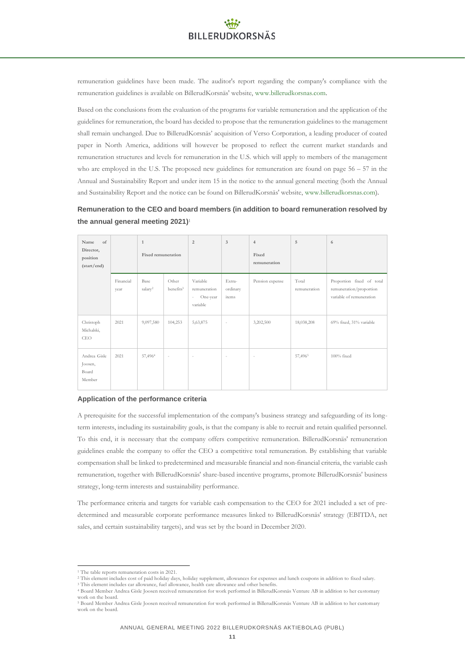remuneration guidelines have been made. The auditor's report regarding the company's compliance with the remuneration guidelines is available on BillerudKorsnäs' website[, www.billerudkorsnas.com.](http://www.billerudkorsnas.com/)

Based on the conclusions from the evaluation of the programs for variable remuneration and the application of the guidelines for remuneration, the board has decided to propose that the remuneration guidelines to the management shall remain unchanged. Due to BillerudKorsnäs' acquisition of Verso Corporation, a leading producer of coated paper in North America, additions will however be proposed to reflect the current market standards and remuneration structures and levels for remuneration in the U.S. which will apply to members of the management who are employed in the U.S. The proposed new guidelines for remuneration are found on page  $56 - 57$  in the Annual and Sustainability Report and under item 15 in the notice to the annual general meeting (both the Annual and Sustainability Report and the notice can be found on BillerudKorsnäs' website[, www.billerudkorsnas.com\)](http://www.billerudkorsnas.com/).

### **Remuneration to the CEO and board members (in addition to board remuneration resolved by the annual general meeting 2021)** 1

| of<br>Name<br>Director,<br>position<br>(stat/end) |                   | $\mathbf{1}$<br>Fixed remuneration |                                | $\overline{2}$                                             | $\overline{3}$              | $\overline{4}$<br>Fixed<br>remuneration | 5                     | 6                                                                                |
|---------------------------------------------------|-------------------|------------------------------------|--------------------------------|------------------------------------------------------------|-----------------------------|-----------------------------------------|-----------------------|----------------------------------------------------------------------------------|
|                                                   | Financial<br>year | Base<br>salary <sup>2</sup>        | Other<br>benefits <sup>3</sup> | Variable<br>remuneration<br>One-year<br>$\sim$<br>variable | Extra-<br>ordinary<br>items | Pension expense                         | Total<br>remuneration | Proportion fixed of total<br>remuneration/proportion<br>variable of remuneration |
| Christoph<br>Michalski,<br><b>CEO</b>             | 2021              | 9,097,580                          | 104,253                        | 5, 63, 875                                                 | $\overline{\phantom{a}}$    | 3,202,500                               | 18,038,208            | 69% fixed, 31% variable                                                          |
| Andrea Gisle<br>Joosen,<br>Board<br>Member        | 2021              | 57,4964                            | $\overline{\phantom{a}}$       | $\sim$                                                     | $\overline{\phantom{a}}$    | $\sim$                                  | 57,4965               | $100\%$ fixed                                                                    |

### **Application of the performance criteria**

A prerequisite for the successful implementation of the company's business strategy and safeguarding of its longterm interests, including its sustainability goals, is that the company is able to recruit and retain qualified personnel. To this end, it is necessary that the company offers competitive remuneration. BillerudKorsnäs' remuneration guidelines enable the company to offer the CEO a competitive total remuneration. By establishing that variable compensation shall be linked to predetermined and measurable financial and non-financial criteria, the variable cash remuneration, together with BillerudKorsnäs' share-based incentive programs, promote BillerudKorsnäs' business strategy, long-term interests and sustainability performance.

The performance criteria and targets for variable cash compensation to the CEO for 2021 included a set of predetermined and measurable corporate performance measures linked to BillerudKorsnäs' strategy (EBITDA, net sales, and certain sustainability targets), and was set by the board in December 2020.

<sup>1</sup> The table reports remuneration costs in 2021.

<sup>2</sup> This element includes cost of paid holiday days, holiday supplement, allowances for expenses and lunch coupons in addition to fixed salary.

<sup>&</sup>lt;sup>3</sup> This element includes car allowance, fuel allowance, health care allowance and other benefits. <sup>4</sup> Board Member Andrea Gisle Joosen received remuneration for work performed in BillerudKorsnäs Venture AB in addition to her customary work on the board.

<sup>5</sup> Board Member Andrea Gisle Joosen received remuneration for work performed in BillerudKorsnäs Venture AB in addition to her customary work on the board.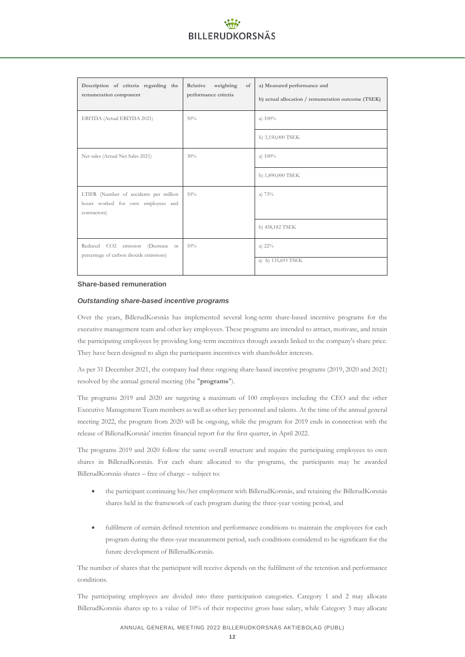| Description of criteria regarding the<br>remuneration component                              | Relative<br>weighting<br>of<br>performance criteria | a) Measured performance and<br>b) actual allocation / remuneration outcome (TSEK) |
|----------------------------------------------------------------------------------------------|-----------------------------------------------------|-----------------------------------------------------------------------------------|
| EBITDA (Actual EBITDA 2021)                                                                  | 50%                                                 | a) $100\%$                                                                        |
|                                                                                              |                                                     | b) 3,150,000 TSEK                                                                 |
| Net sales (Actual Net Sales 2021)                                                            | 30%                                                 | a) $100%$                                                                         |
|                                                                                              |                                                     | b) 1,890,000 TSEK                                                                 |
| LTIFR (Number of accidents per million<br>hours worked for own employees and<br>contractors) | 10%                                                 | a) 73%                                                                            |
|                                                                                              |                                                     | b) 458,182 TSEK                                                                   |
| Reduced CO2<br>(Decrease in<br>emission<br>percentage of carbon dioxide emissions)           | 10%                                                 | a) $22\%$<br>a) b) 135,693 TSEK                                                   |

#### **Share-based remuneration**

### *Outstanding share-based incentive programs*

Over the years, BillerudKorsnäs has implemented several long-term share-based incentive programs for the executive management team and other key employees. These programs are intended to attract, motivate, and retain the participating employees by providing long-term incentives through awards linked to the company's share price. They have been designed to align the participants incentives with shareholder interests.

As per 31 December 2021, the company had three ongoing share-based incentive programs (2019, 2020 and 2021) resolved by the annual general meeting (the "**programs**").

The programs 2019 and 2020 are targeting a maximum of 100 employees including the CEO and the other Executive Management Team members as well as other key personnel and talents. At the time of the annual general meeting 2022, the program from 2020 will be ongoing, while the program for 2019 ends in connection with the release of BillerudKorsnäs' interim financial report for the first quarter, in April 2022.

The programs 2019 and 2020 follow the same overall structure and require the participating employees to own shares in BillerudKorsnäs. For each share allocated to the programs, the participants may be awarded BillerudKorsnäs shares – free of charge – subject to:

- the participant continuing his/her employment with BillerudKorsnäs, and retaining the BillerudKorsnäs shares held in the framework of each program during the three-year vesting period, and
- fulfilment of certain defined retention and performance conditions to maintain the employees for each program during the three-year measurement period, such conditions considered to be significant for the future development of BillerudKorsnäs.

The number of shares that the participant will receive depends on the fulfilment of the retention and performance conditions.

The participating employees are divided into three participation categories. Category 1 and 2 may allocate BillerudKorsnäs shares up to a value of 10% of their respective gross base salary, while Category 3 may allocate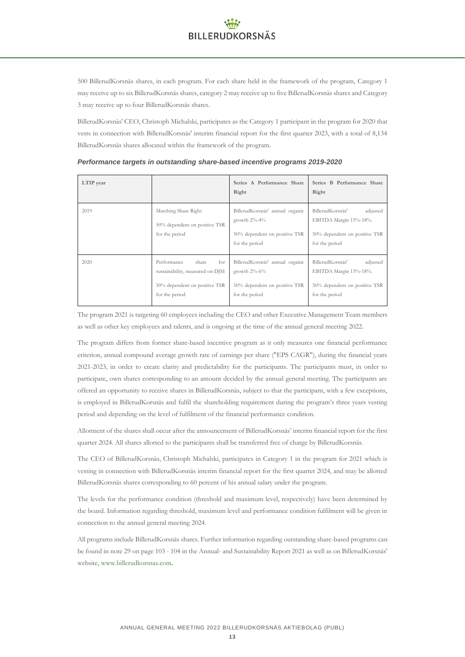500 BillerudKorsnäs shares, in each program. For each share held in the framework of the program, Category 1 may receive up to six BillerudKorsnäs shares, category 2 may receive up to five BillerudKorsnäs shares and Category 3 may receive up to four BillerudKorsnäs shares.

BillerudKorsnäs' CEO, Christoph Michalski, participates as the Category 1 participant in the program for 2020 that vests in connection with BillerudKorsnäs' interim financial report for the first quarter 2023, with a total of 8,134 BillerudKorsnäs shares allocated within the framework of the program.

| LTIP year |                                                                                                                    | Series A Performance Share<br>Right                                                                      | Series B Performance Share<br>Right                                                                       |
|-----------|--------------------------------------------------------------------------------------------------------------------|----------------------------------------------------------------------------------------------------------|-----------------------------------------------------------------------------------------------------------|
| 2019      | Matching Share Right<br>50% dependent on positive TSR<br>for the period                                            | BillerudKorsnäs' annual organic<br>growth $2\% - 4\%$<br>50% dependent on positive TSR<br>for the period | BillerudKorsnäs'<br>adjusted<br>EBITDA Margin 15%-18%.<br>50% dependent on positive TSR<br>for the period |
| 2020      | for<br>Performance<br>share<br>sustainability, measured on DJSI<br>50% dependent on positive TSR<br>for the period | BillerudKorsnäs' annual organic<br>growth $2\% - 6\%$<br>50% dependent on positive TSR<br>for the period | BillerudKorsnäs'<br>adjusted<br>EBITDA Margin 13%-18%.<br>50% dependent on positive TSR<br>for the period |

*Performance targets in outstanding share-based incentive programs 2019-2020*

The program 2021 is targeting 60 employees including the CEO and other Executive Management Team members as well as other key employees and talents, and is ongoing at the time of the annual general meeting 2022.

The program differs from former share-based incentive program as it only measures one financial performance criterion, annual compound average growth rate of earnings per share ("EPS CAGR"), during the financial years 2021-2023, in order to create clarity and predictability for the participants. The participants must, in order to participate, own shares corresponding to an amount decided by the annual general meeting. The participants are offered an opportunity to receive shares in BillerudKorsnäs, subject to that the participant, with a few exceptions, is employed in BillerudKorsnäs and fulfil the shareholding requirement during the program's three years vesting period and depending on the level of fulfilment of the financial performance condition.

Allotment of the shares shall occur after the announcement of BillerudKorsnäs' interim financial report for the first quarter 2024. All shares allotted to the participants shall be transferred free of charge by BillerudKorsnäs.

The CEO of BillerudKorsnäs, Christoph Michalski, participates in Category 1 in the program for 2021 which is vesting in connection with BillerudKorsnäs interim financial report for the first quarter 2024, and may be allotted BillerudKorsnäs shares corresponding to 60 percent of his annual salary under the program.

The levels for the performance condition (threshold and maximum level, respectively) have been determined by the board. Information regarding threshold, maximum level and performance condition fulfilment will be given in connection to the annual general meeting 2024.

All programs include BillerudKorsnäs shares. Further information regarding outstanding share-based programs can be found in note 29 on page 103 - 104 in the Annual- and Sustainability Report 2021 as well as on BillerudKorsnäs' website, [www.billerudkorsnas.com.](http://www.billerudkorsnas.com/)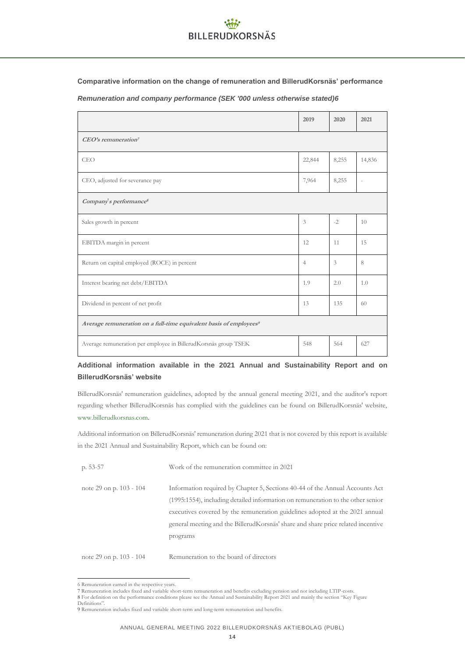**Comparative information on the change of remuneration and BillerudKorsnäs' performance**

*Remuneration and company performance (SEK '000 unless otherwise stated)6*

|                                                                                | 2019           | 2020  | 2021   |  |
|--------------------------------------------------------------------------------|----------------|-------|--------|--|
| CEO's remuneration <sup>7</sup>                                                |                |       |        |  |
| <b>CEO</b>                                                                     | 22,844         | 8,255 | 14,836 |  |
| CEO, adjusted for severance pay                                                | 7,964          | 8,255 |        |  |
| Company's performance <sup>8</sup>                                             |                |       |        |  |
| Sales growth in percent                                                        | 3              | $-2$  | 10     |  |
| EBITDA margin in percent                                                       | 12             | 11    | 15     |  |
| Return on capital employed (ROCE) in percent                                   | $\overline{4}$ | 3     | 8      |  |
| Interest bearing net debt/EBITDA                                               | 1.9            | 2.0   | 1.0    |  |
| Dividend in percent of net profit                                              | 13             | 135   | 60     |  |
| Average remuneration on a full-time equivalent basis of employees <sup>9</sup> |                |       |        |  |
| Average remuneration per employee in BillerudKorsnäs group TSEK                | 548            | 564   | 627    |  |

# **Additional information available in the 2021 Annual and Sustainability Report and on BillerudKorsnäs' website**

BillerudKorsnäs' remuneration guidelines, adopted by the annual general meeting 2021, and the auditor's report regarding whether BillerudKorsnäs has complied with the guidelines can be found on BillerudKorsnäs' website, [www.billerudkorsnas.com.](http://www.billerudkorsnas.com/) 

Additional information on BillerudKorsnäs' remuneration during 2021 that is not covered by this report is available in the 2021 Annual and Sustainability Report, which can be found on:

| p. $53-57$              | Work of the remuneration committee in 2021                                                                                                                                                                                                                                                                                                      |
|-------------------------|-------------------------------------------------------------------------------------------------------------------------------------------------------------------------------------------------------------------------------------------------------------------------------------------------------------------------------------------------|
| note 29 on p. 103 - 104 | Information required by Chapter 5, Sections 40-44 of the Annual Accounts Act<br>(1995:1554), including detailed information on remuneration to the other senior<br>executives covered by the remuneration guidelines adopted at the 2021 annual<br>general meeting and the BillerudKorsnäs' share and share price related incentive<br>programs |
| note 29 on p. 103 - 104 | Remuneration to the board of directors                                                                                                                                                                                                                                                                                                          |

<sup>6</sup> Remuneration earned in the respective years.

<sup>7</sup> Remuneration includes fixed and variable short-term remuneration and benefits excluding pension and not including LTIP-costs.

<sup>8</sup> For definition on the performance conditions please see the Annual and Sustainability Report 2021 and mainly the section "Key Figure Definitions".

<sup>9</sup> Remuneration includes fixed and variable short-term and long-term remuneration and benefits.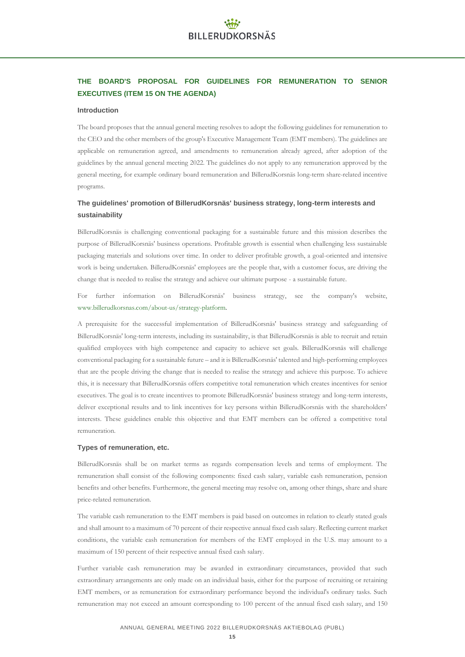# **THE BOARD'S PROPOSAL FOR GUIDELINES FOR REMUNERATION TO SENIOR EXECUTIVES (ITEM 15 ON THE AGENDA)**

### **Introduction**

The board proposes that the annual general meeting resolves to adopt the following guidelines for remuneration to the CEO and the other members of the group's Executive Management Team (EMT members). The guidelines are applicable on remuneration agreed, and amendments to remuneration already agreed, after adoption of the guidelines by the annual general meeting 2022. The guidelines do not apply to any remuneration approved by the general meeting, for example ordinary board remuneration and BillerudKorsnäs long-term share-related incentive programs.

### **The guidelines' promotion of BillerudKorsnäs' business strategy, long-term interests and sustainability**

BillerudKorsnäs is challenging conventional packaging for a sustainable future and this mission describes the purpose of BillerudKorsnäs' business operations. Profitable growth is essential when challenging less sustainable packaging materials and solutions over time. In order to deliver profitable growth, a goal-oriented and intensive work is being undertaken. BillerudKorsnäs' employees are the people that, with a customer focus, are driving the change that is needed to realise the strategy and achieve our ultimate purpose - a sustainable future.

For further information on BillerudKorsnäs' business strategy, see the company's website, [www.billerudkorsnas.com/about-us/strategy-platform.](http://www.billerudkorsnas.com/about-us/strategy-platform)

A prerequisite for the successful implementation of BillerudKorsnäs' business strategy and safeguarding of BillerudKorsnäs' long-term interests, including its sustainability, is that BillerudKorsnäs is able to recruit and retain qualified employees with high competence and capacity to achieve set goals. BillerudKorsnäs will challenge conventional packaging for a sustainable future – and it is BillerudKorsnäs' talented and high-performing employees that are the people driving the change that is needed to realise the strategy and achieve this purpose. To achieve this, it is necessary that BillerudKorsnäs offers competitive total remuneration which creates incentives for senior executives. The goal is to create incentives to promote BillerudKorsnäs' business strategy and long-term interests, deliver exceptional results and to link incentives for key persons within BillerudKorsnäs with the shareholders' interests. These guidelines enable this objective and that EMT members can be offered a competitive total remuneration.

### **Types of remuneration, etc.**

BillerudKorsnäs shall be on market terms as regards compensation levels and terms of employment. The remuneration shall consist of the following components: fixed cash salary, variable cash remuneration, pension benefits and other benefits. Furthermore, the general meeting may resolve on, among other things, share and share price-related remuneration.

The variable cash remuneration to the EMT members is paid based on outcomes in relation to clearly stated goals and shall amount to a maximum of 70 percent of their respective annual fixed cash salary. Reflecting current market conditions, the variable cash remuneration for members of the EMT employed in the U.S. may amount to a maximum of 150 percent of their respective annual fixed cash salary.

Further variable cash remuneration may be awarded in extraordinary circumstances, provided that such extraordinary arrangements are only made on an individual basis, either for the purpose of recruiting or retaining EMT members, or as remuneration for extraordinary performance beyond the individual's ordinary tasks. Such remuneration may not exceed an amount corresponding to 100 percent of the annual fixed cash salary, and 150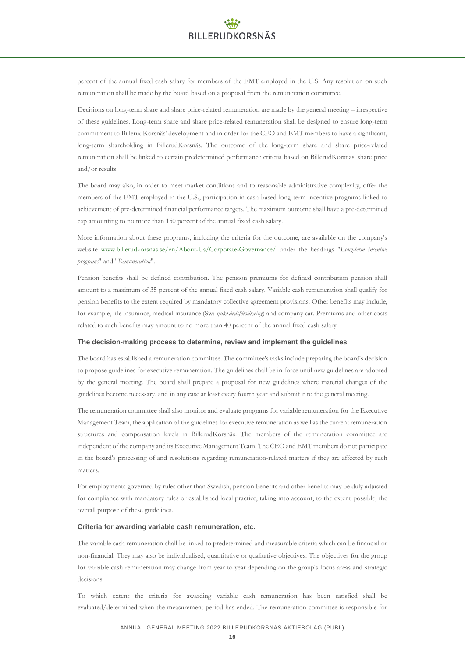percent of the annual fixed cash salary for members of the EMT employed in the U.S. Any resolution on such remuneration shall be made by the board based on a proposal from the remuneration committee.

Decisions on long-term share and share price-related remuneration are made by the general meeting – irrespective of these guidelines. Long-term share and share price-related remuneration shall be designed to ensure long-term commitment to BillerudKorsnäs' development and in order for the CEO and EMT members to have a significant, long-term shareholding in BillerudKorsnäs. The outcome of the long-term share and share price-related remuneration shall be linked to certain predetermined performance criteria based on BillerudKorsnäs' share price and/or results.

The board may also, in order to meet market conditions and to reasonable administrative complexity, offer the members of the EMT employed in the U.S., participation in cash based long-term incentive programs linked to achievement of pre-determined financial performance targets. The maximum outcome shall have a pre-determined cap amounting to no more than 150 percent of the annual fixed cash salary.

More information about these programs, including the criteria for the outcome, are available on the company's website [www.billerudkorsnas.se/en/About-Us/Corporate-Governance/](http://www.billerudkorsnas.se/en/About­Us/Corporate­Governance/) under the headings "*Long-term incentive programs*" and "*Remuneration*".

Pension benefits shall be defined contribution. The pension premiums for defined contribution pension shall amount to a maximum of 35 percent of the annual fixed cash salary. Variable cash remuneration shall qualify for pension benefits to the extent required by mandatory collective agreement provisions. Other benefits may include, for example, life insurance, medical insurance (Sw: *sjukvårdsförsäkring*) and company car. Premiums and other costs related to such benefits may amount to no more than 40 percent of the annual fixed cash salary.

### **The decision-making process to determine, review and implement the guidelines**

The board has established a remuneration committee. The committee's tasks include preparing the board's decision to propose guidelines for executive remuneration. The guidelines shall be in force until new guidelines are adopted by the general meeting. The board shall prepare a proposal for new guidelines where material changes of the guidelines become necessary, and in any case at least every fourth year and submit it to the general meeting.

The remuneration committee shall also monitor and evaluate programs for variable remuneration for the Executive Management Team, the application of the guidelines for executive remuneration as well as the current remuneration structures and compensation levels in BillerudKorsnäs. The members of the remuneration committee are independent of the company and its Executive Management Team. The CEO and EMT members do not participate in the board's processing of and resolutions regarding remuneration-related matters if they are affected by such matters.

For employments governed by rules other than Swedish, pension benefits and other benefits may be duly adjusted for compliance with mandatory rules or established local practice, taking into account, to the extent possible, the overall purpose of these guidelines.

### **Criteria for awarding variable cash remuneration, etc.**

The variable cash remuneration shall be linked to predetermined and measurable criteria which can be financial or non-financial. They may also be individualised, quantitative or qualitative objectives. The objectives for the group for variable cash remuneration may change from year to year depending on the group's focus areas and strategic decisions.

To which extent the criteria for awarding variable cash remuneration has been satisfied shall be evaluated/determined when the measurement period has ended. The remuneration committee is responsible for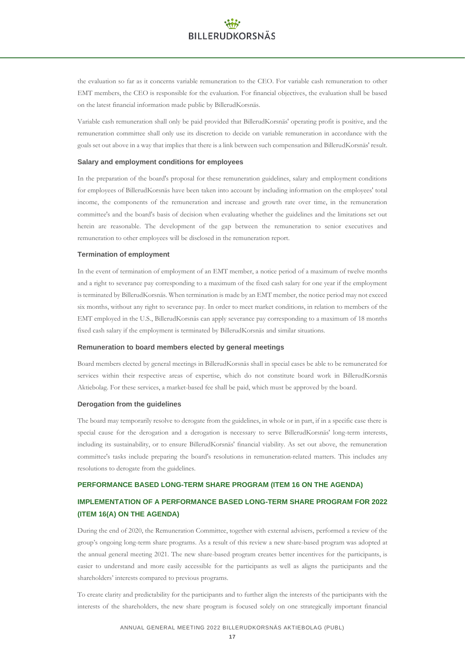the evaluation so far as it concerns variable remuneration to the CEO. For variable cash remuneration to other EMT members, the CEO is responsible for the evaluation. For financial objectives, the evaluation shall be based on the latest financial information made public by BillerudKorsnäs.

Variable cash remuneration shall only be paid provided that BillerudKorsnäs' operating profit is positive, and the remuneration committee shall only use its discretion to decide on variable remuneration in accordance with the goals set out above in a way that implies that there is a link between such compensation and BillerudKorsnäs' result.

### **Salary and employment conditions for employees**

In the preparation of the board's proposal for these remuneration guidelines, salary and employment conditions for employees of BillerudKorsnäs have been taken into account by including information on the employees' total income, the components of the remuneration and increase and growth rate over time, in the remuneration committee's and the board's basis of decision when evaluating whether the guidelines and the limitations set out herein are reasonable. The development of the gap between the remuneration to senior executives and remuneration to other employees will be disclosed in the remuneration report.

### **Termination of employment**

In the event of termination of employment of an EMT member, a notice period of a maximum of twelve months and a right to severance pay corresponding to a maximum of the fixed cash salary for one year if the employment is terminated by BillerudKorsnäs. When termination is made by an EMT member, the notice period may not exceed six months, without any right to severance pay. In order to meet market conditions, in relation to members of the EMT employed in the U.S., BillerudKorsnäs can apply severance pay corresponding to a maximum of 18 months fixed cash salary if the employment is terminated by BillerudKorsnäs and similar situations.

### **Remuneration to board members elected by general meetings**

Board members elected by general meetings in BillerudKorsnäs shall in special cases be able to be remunerated for services within their respective areas of expertise, which do not constitute board work in BillerudKorsnäs Aktiebolag. For these services, a market-based fee shall be paid, which must be approved by the board.

### **Derogation from the guidelines**

The board may temporarily resolve to derogate from the guidelines, in whole or in part, if in a specific case there is special cause for the derogation and a derogation is necessary to serve BillerudKorsnäs' long-term interests, including its sustainability, or to ensure BillerudKorsnäs' financial viability. As set out above, the remuneration committee's tasks include preparing the board's resolutions in remuneration-related matters. This includes any resolutions to derogate from the guidelines.

### **PERFORMANCE BASED LONG-TERM SHARE PROGRAM (ITEM 16 ON THE AGENDA)**

# **IMPLEMENTATION OF A PERFORMANCE BASED LONG-TERM SHARE PROGRAM FOR 2022 (ITEM 16(A) ON THE AGENDA)**

During the end of 2020, the Remuneration Committee, together with external advisers, performed a review of the group's ongoing long-term share programs. As a result of this review a new share-based program was adopted at the annual general meeting 2021. The new share-based program creates better incentives for the participants, is easier to understand and more easily accessible for the participants as well as aligns the participants and the shareholders' interests compared to previous programs.

To create clarity and predictability for the participants and to further align the interests of the participants with the interests of the shareholders, the new share program is focused solely on one strategically important financial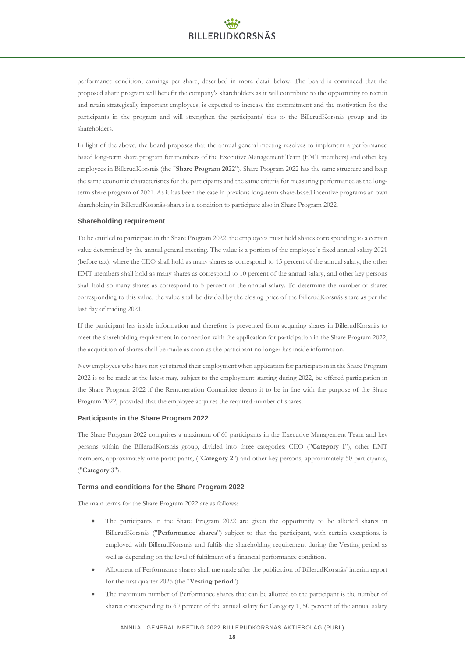performance condition, earnings per share, described in more detail below. The board is convinced that the proposed share program will benefit the company's shareholders as it will contribute to the opportunity to recruit and retain strategically important employees, is expected to increase the commitment and the motivation for the participants in the program and will strengthen the participants' ties to the BillerudKorsnäs group and its shareholders.

In light of the above, the board proposes that the annual general meeting resolves to implement a performance based long-term share program for members of the Executive Management Team (EMT members) and other key employees in BillerudKorsnäs (the "**Share Program 2022**"). Share Program 2022 has the same structure and keep the same economic characteristics for the participants and the same criteria for measuring performance as the longterm share program of 2021. As it has been the case in previous long-term share-based incentive programs an own shareholding in BillerudKorsnäs-shares is a condition to participate also in Share Program 2022.

### **Shareholding requirement**

To be entitled to participate in the Share Program 2022, the employees must hold shares corresponding to a certain value determined by the annual general meeting. The value is a portion of the employee´s fixed annual salary 2021 (before tax), where the CEO shall hold as many shares as correspond to 15 percent of the annual salary, the other EMT members shall hold as many shares as correspond to 10 percent of the annual salary, and other key persons shall hold so many shares as correspond to 5 percent of the annual salary. To determine the number of shares corresponding to this value, the value shall be divided by the closing price of the BillerudKorsnäs share as per the last day of trading 2021.

If the participant has inside information and therefore is prevented from acquiring shares in BillerudKorsnäs to meet the shareholding requirement in connection with the application for participation in the Share Program 2022, the acquisition of shares shall be made as soon as the participant no longer has inside information.

New employees who have not yet started their employment when application for participation in the Share Program 2022 is to be made at the latest may, subject to the employment starting during 2022, be offered participation in the Share Program 2022 if the Remuneration Committee deems it to be in line with the purpose of the Share Program 2022, provided that the employee acquires the required number of shares.

### **Participants in the Share Program 2022**

The Share Program 2022 comprises a maximum of 60 participants in the Executive Management Team and key persons within the BillerudKorsnäs group, divided into three categories: CEO ("**Category 1**"), other EMT members, approximately nine participants, ("**Category 2**") and other key persons, approximately 50 participants, ("**Category 3**").

### **Terms and conditions for the Share Program 2022**

The main terms for the Share Program 2022 are as follows:

- The participants in the Share Program 2022 are given the opportunity to be allotted shares in BillerudKorsnäs ("**Performance shares**") subject to that the participant, with certain exceptions, is employed with BillerudKorsnäs and fulfils the shareholding requirement during the Vesting period as well as depending on the level of fulfilment of a financial performance condition.
- Allotment of Performance shares shall me made after the publication of BillerudKorsnäs' interim report for the first quarter 2025 (the "**Vesting period**").
- The maximum number of Performance shares that can be allotted to the participant is the number of shares corresponding to 60 percent of the annual salary for Category 1, 50 percent of the annual salary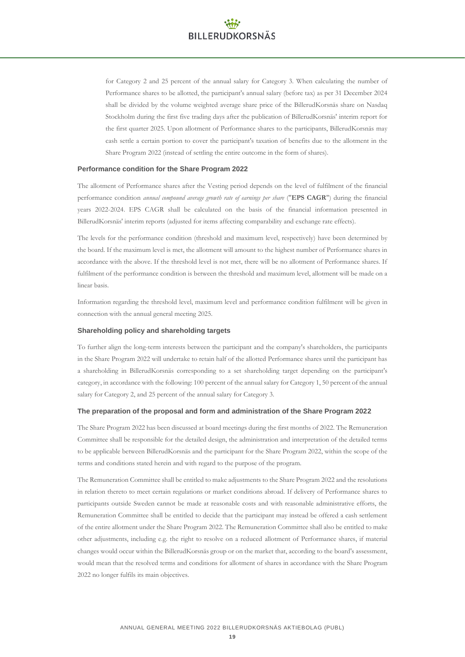for Category 2 and 25 percent of the annual salary for Category 3. When calculating the number of Performance shares to be allotted, the participant's annual salary (before tax) as per 31 December 2024 shall be divided by the volume weighted average share price of the BillerudKorsnäs share on Nasdaq Stockholm during the first five trading days after the publication of BillerudKorsnäs' interim report for the first quarter 2025. Upon allotment of Performance shares to the participants, BillerudKorsnäs may cash settle a certain portion to cover the participant's taxation of benefits due to the allotment in the Share Program 2022 (instead of settling the entire outcome in the form of shares).

### **Performance condition for the Share Program 2022**

The allotment of Performance shares after the Vesting period depends on the level of fulfilment of the financial performance condition *annual compound average growth rate of earnings per share* ("**EPS CAGR**") during the financial years 2022-2024. EPS CAGR shall be calculated on the basis of the financial information presented in BillerudKorsnäs' interim reports (adjusted for items affecting comparability and exchange rate effects).

The levels for the performance condition (threshold and maximum level, respectively) have been determined by the board. If the maximum level is met, the allotment will amount to the highest number of Performance shares in accordance with the above. If the threshold level is not met, there will be no allotment of Performance shares. If fulfilment of the performance condition is between the threshold and maximum level, allotment will be made on a linear basis.

Information regarding the threshold level, maximum level and performance condition fulfilment will be given in connection with the annual general meeting 2025.

### **Shareholding policy and shareholding targets**

To further align the long-term interests between the participant and the company's shareholders, the participants in the Share Program 2022 will undertake to retain half of the allotted Performance shares until the participant has a shareholding in BillerudKorsnäs corresponding to a set shareholding target depending on the participant's category, in accordance with the following: 100 percent of the annual salary for Category 1, 50 percent of the annual salary for Category 2, and 25 percent of the annual salary for Category 3.

#### **The preparation of the proposal and form and administration of the Share Program 2022**

The Share Program 2022 has been discussed at board meetings during the first months of 2022. The Remuneration Committee shall be responsible for the detailed design, the administration and interpretation of the detailed terms to be applicable between BillerudKorsnäs and the participant for the Share Program 2022, within the scope of the terms and conditions stated herein and with regard to the purpose of the program.

The Remuneration Committee shall be entitled to make adjustments to the Share Program 2022 and the resolutions in relation thereto to meet certain regulations or market conditions abroad. If delivery of Performance shares to participants outside Sweden cannot be made at reasonable costs and with reasonable administrative efforts, the Remuneration Committee shall be entitled to decide that the participant may instead be offered a cash settlement of the entire allotment under the Share Program 2022. The Remuneration Committee shall also be entitled to make other adjustments, including e.g. the right to resolve on a reduced allotment of Performance shares, if material changes would occur within the BillerudKorsnäs group or on the market that, according to the board's assessment, would mean that the resolved terms and conditions for allotment of shares in accordance with the Share Program 2022 no longer fulfils its main objectives.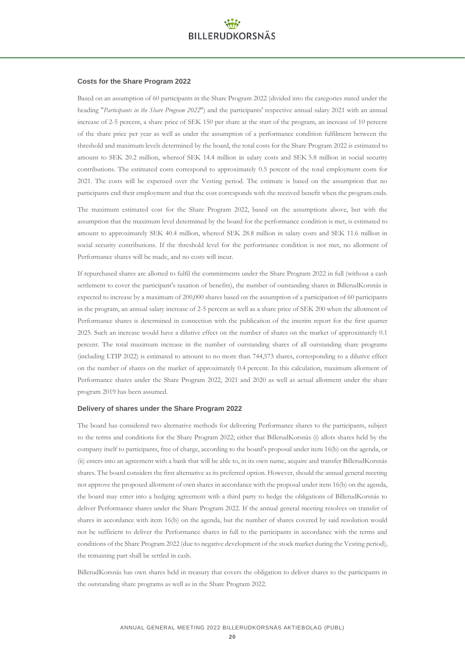### **Costs for the Share Program 2022**

Based on an assumption of 60 participants in the Share Program 2022 (divided into the categories stated under the heading "*Participants in the Share Program 2022*") and the participants' respective annual salary 2021 with an annual increase of 2-5 percent, a share price of SEK 150 per share at the start of the program, an increase of 10 percent of the share price per year as well as under the assumption of a performance condition fulfilment between the threshold and maximum levels determined by the board, the total costs for the Share Program 2022 is estimated to amount to SEK 20.2 million, whereof SEK 14.4 million in salary costs and SEK 5.8 million in social security contributions. The estimated costs correspond to approximately 0.5 percent of the total employment costs for 2021. The costs will be expensed over the Vesting period. The estimate is based on the assumption that no participants end their employment and that the cost corresponds with the received benefit when the program ends.

The maximum estimated cost for the Share Program 2022, based on the assumptions above, but with the assumption that the maximum level determined by the board for the performance condition is met, is estimated to amount to approximately SEK 40.4 million, whereof SEK 28.8 million in salary costs and SEK 11.6 million in social security contributions. If the threshold level for the performance condition is not met, no allotment of Performance shares will be made, and no costs will incur.

If repurchased shares are allotted to fulfil the commitments under the Share Program 2022 in full (without a cash settlement to cover the participant's taxation of benefits), the number of outstanding shares in BillerudKorsnäs is expected to increase by a maximum of 200,000 shares based on the assumption of a participation of 60 participants in the program, an annual salary increase of 2-5 percent as well as a share price of SEK 200 when the allotment of Performance shares is determined in connection with the publication of the interim report for the first quarter 2025. Such an increase would have a dilutive effect on the number of shares on the market of approximately 0.1 percent. The total maximum increase in the number of outstanding shares of all outstanding share programs (including LTIP 2022) is estimated to amount to no more than 744,573 shares, corresponding to a dilutive effect on the number of shares on the market of approximately 0.4 percent. In this calculation, maximum allotment of Performance shares under the Share Program 2022, 2021 and 2020 as well as actual allotment under the share program 2019 has been assumed.

#### **Delivery of shares under the Share Program 2022**

The board has considered two alternative methods for delivering Performance shares to the participants, subject to the terms and conditions for the Share Program 2022; either that BillerudKorsnäs (i) allots shares held by the company itself to participants, free of charge, according to the board's proposal under item 16(b) on the agenda, or (ii) enters into an agreement with a bank that will be able to, in its own name, acquire and transfer BillerudKorsnäs shares. The board considers the first alternative as its preferred option. However, should the annual general meeting not approve the proposed allotment of own shares in accordance with the proposal under item 16(b) on the agenda, the board may enter into a hedging agreement with a third party to hedge the obligations of BillerudKorsnäs to deliver Performance shares under the Share Program 2022. If the annual general meeting resolves on transfer of shares in accordance with item 16(b) on the agenda, but the number of shares covered by said resolution would not be sufficient to deliver the Performance shares in full to the participants in accordance with the terms and conditions of the Share Program 2022 (due to negative development of the stock market during the Vesting period), the remaining part shall be settled in cash.

BillerudKorsnäs has own shares held in treasury that covers the obligation to deliver shares to the participants in the outstanding share programs as well as in the Share Program 2022.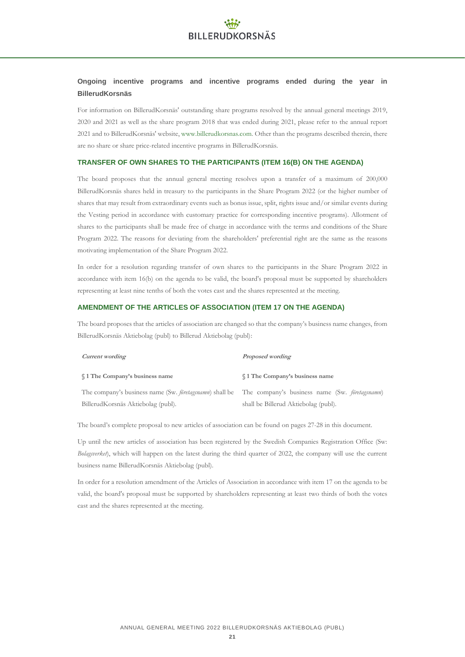### **Ongoing incentive programs and incentive programs ended during the year in BillerudKorsnäs**

For information on BillerudKorsnäs' outstanding share programs resolved by the annual general meetings 2019, 2020 and 2021 as well as the share program 2018 that was ended during 2021, please refer to the annual report 2021 and to BillerudKorsnäs' website[, www.billerudkorsnas.com.](http://www.billerudkorsnas.com/) Other than the programs described therein, there are no share or share price-related incentive programs in BillerudKorsnäs.

### **TRANSFER OF OWN SHARES TO THE PARTICIPANTS (ITEM 16(B) ON THE AGENDA)**

The board proposes that the annual general meeting resolves upon a transfer of a maximum of 200,000 BillerudKorsnäs shares held in treasury to the participants in the Share Program 2022 (or the higher number of shares that may result from extraordinary events such as bonus issue, split, rights issue and/or similar events during the Vesting period in accordance with customary practice for corresponding incentive programs). Allotment of shares to the participants shall be made free of charge in accordance with the terms and conditions of the Share Program 2022. The reasons for deviating from the shareholders' preferential right are the same as the reasons motivating implementation of the Share Program 2022.

In order for a resolution regarding transfer of own shares to the participants in the Share Program 2022 in accordance with item 16(b) on the agenda to be valid, the board's proposal must be supported by shareholders representing at least nine tenths of both the votes cast and the shares represented at the meeting.

### **AMENDMENT OF THE ARTICLES OF ASSOCIATION (ITEM 17 ON THE AGENDA)**

The board proposes that the articles of association are changed so that the company's business name changes, from BillerudKorsnäs Aktiebolag (publ) to Billerud Aktiebolag (publ):

| Current wording                                                                                                        | Proposed wording                       |
|------------------------------------------------------------------------------------------------------------------------|----------------------------------------|
| \$1 The Company's business name                                                                                        | <b>S</b> 1 The Company's business name |
| The company's business name (Sw. <i>foretagsnamn</i> ) shall be The company's business name (Sw. <i>foretagsnamn</i> ) |                                        |
| BillerudKorsnäs Aktiebolag (publ).                                                                                     | shall be Billerud Aktiebolag (publ).   |

The board's complete proposal to new articles of association can be found on pages 27-28 in this document.

Up until the new articles of association has been registered by the Swedish Companies Registration Office (Sw: *Bolagsverket*), which will happen on the latest during the third quarter of 2022, the company will use the current business name BillerudKorsnäs Aktiebolag (publ).

In order for a resolution amendment of the Articles of Association in accordance with item 17 on the agenda to be valid, the board's proposal must be supported by shareholders representing at least two thirds of both the votes cast and the shares represented at the meeting.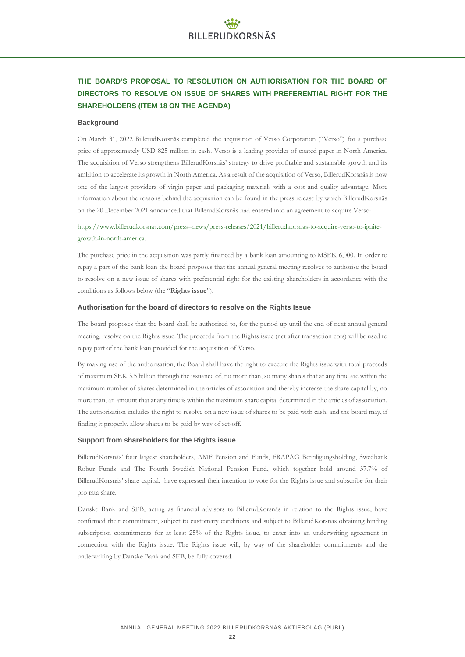# **THE BOARD'S PROPOSAL TO RESOLUTION ON AUTHORISATION FOR THE BOARD OF DIRECTORS TO RESOLVE ON ISSUE OF SHARES WITH PREFERENTIAL RIGHT FOR THE SHAREHOLDERS (ITEM 18 ON THE AGENDA)**

### **Background**

On March 31, 2022 BillerudKorsnäs completed the acquisition of Verso Corporation ("Verso") for a purchase price of approximately USD 825 million in cash. Verso is a leading provider of coated paper in North America. The acquisition of Verso strengthens BillerudKorsnäs' strategy to drive profitable and sustainable growth and its ambition to accelerate its growth in North America. As a result of the acquisition of Verso, BillerudKorsnäs is now one of the largest providers of virgin paper and packaging materials with a cost and quality advantage. More information about the reasons behind the acquisition can be found in the press release by which BillerudKorsnäs on the 20 December 2021 announced that BillerudKorsnäs had entered into an agreement to acquire Verso:

https://www.billerudkorsnas.com/press--news/press-releases/2021/billerudkorsnas-to-acquire-verso-to-ignitegrowth-in-north-america.

The purchase price in the acquisition was partly financed by a bank loan amounting to MSEK 6,000. In order to repay a part of the bank loan the board proposes that the annual general meeting resolves to authorise the board to resolve on a new issue of shares with preferential right for the existing shareholders in accordance with the conditions as follows below (the "**Rights issue**").

#### **Authorisation for the board of directors to resolve on the Rights Issue**

The board proposes that the board shall be authorised to, for the period up until the end of next annual general meeting, resolve on the Rights issue. The proceeds from the Rights issue (net after transaction cots) will be used to repay part of the bank loan provided for the acquisition of Verso.

By making use of the authorisation, the Board shall have the right to execute the Rights issue with total proceeds of maximum SEK 3.5 billion through the issuance of, no more than, so many shares that at any time are within the maximum number of shares determined in the articles of association and thereby increase the share capital by, no more than, an amount that at any time is within the maximum share capital determined in the articles of association. The authorisation includes the right to resolve on a new issue of shares to be paid with cash, and the board may, if finding it properly, allow shares to be paid by way of set-off.

### **Support from shareholders for the Rights issue**

BillerudKorsnäs' four largest shareholders, AMF Pension and Funds, FRAPAG Beteiligungsholding, Swedbank Robur Funds and The Fourth Swedish National Pension Fund, which together hold around 37.7% of BillerudKorsnäs' share capital, have expressed their intention to vote for the Rights issue and subscribe for their pro rata share.

Danske Bank and SEB, acting as financial advisors to BillerudKorsnäs in relation to the Rights issue, have confirmed their commitment, subject to customary conditions and subject to BillerudKorsnäs obtaining binding subscription commitments for at least 25% of the Rights issue, to enter into an underwriting agreement in connection with the Rights issue. The Rights issue will, by way of the shareholder commitments and the underwriting by Danske Bank and SEB, be fully covered.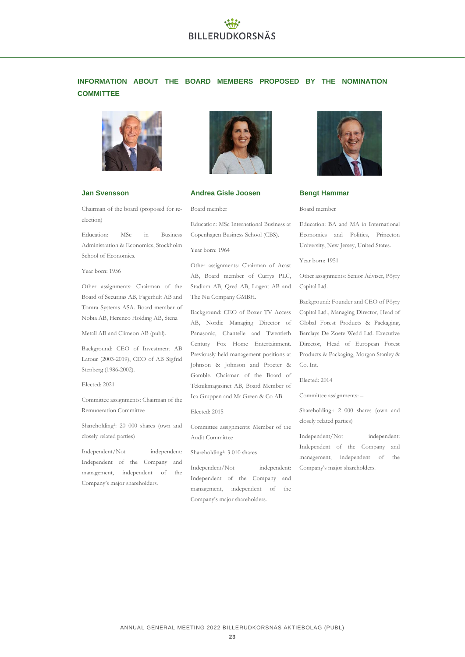# **INFORMATION ABOUT THE BOARD MEMBERS PROPOSED BY THE NOMINATION COMMITTEE**



### **Jan Svensson**

Chairman of the board (proposed for reelection)

Education: MSc in Business Administration & Economics, Stockholm School of Economics.

#### Year born: 1956

Other assignments: Chairman of the Board of Securitas AB, Fagerhult AB and Tomra Systems ASA. Board member of Nobia AB, Herenco Holding AB, Stena

Metall AB and Climeon AB (publ).

Background: CEO of Investment AB Latour (2003-2019), CEO of AB Sigfrid Stenberg (1986-2002).

Elected: 2021

Committee assignments: Chairman of the Remuneration Committee

Shareholding<sup>1</sup> : 20 000 shares (own and closely related parties)

Independent/Not independent: Independent of the Company and management, independent of the Company's major shareholders.



### **Andrea Gisle Joosen**

Board member

Education: MSc International Business at Copenhagen Business School (CBS).

Year born: 1964

Other assignments: Chairman of Acast AB, Board member of Currys PLC, Stadium AB, Qred AB, Logent AB and The Nu Company GMBH.

Background: CEO of Boxer TV Access AB, Nordic Managing Director of Panasonic, Chantelle and Twentieth Century Fox Home Entertainment. Previously held management positions at Johnson & Johnson and Procter & Gamble. Chairman of the Board of Teknikmagasinet AB, Board Member of Ica Gruppen and Mr Green & Co AB.

Elected: 2015

Committee assignments: Member of the Audit Committee

Shareholding<sup>1</sup>: 3 010 shares

Independent/Not independent: Independent of the Company and management, independent of the Company's major shareholders.



### **Bengt Hammar**

#### Board member

Education: BA and MA in International Economics and Politics, Princeton University, New Jersey, United States.

Year born: 1951

Other assignments: Senior Adviser, Pöyry Capital Ltd.

Background: Founder and CEO of Pöyry Capital Ltd., Managing Director, Head of Global Forest Products & Packaging, Barclays De Zoete Wedd Ltd. Executive Director, Head of European Forest Products & Packaging, Morgan Stanley & Co. Int.

Elected: 2014

Committee assignments: –

Shareholding<sup>1</sup> : 2 000 shares (own and closely related parties)

Independent/Not independent: Independent of the Company and management, independent of the Company's major shareholders.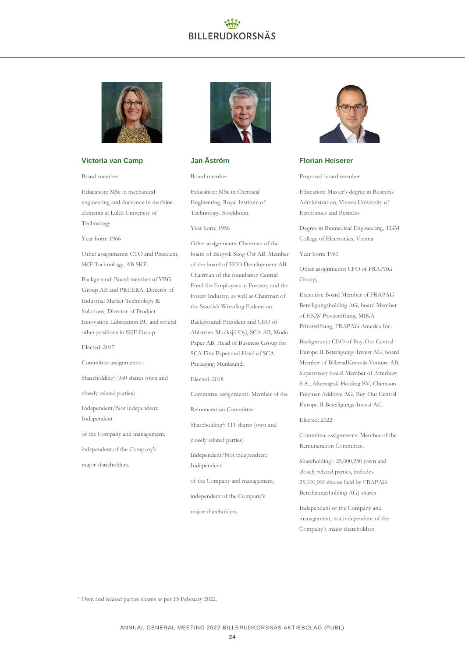

### **Victoria van Camp**

Board member

Education: MSc in mechanical engineering and doctorate in machine elements at Luleå University of Technology.

Year born: 1966

Other assignments: CTO and President, SKF Technology, AB SKF.

Background: Board member of VBG Group AB and PREERA. Director of Industrial Market Technology & Solutions, Director of Product Innovation Lubrication BU and several other positions in SKF Group.

Elected: 2017

Committee assignments: -

Shareholding<sup>1</sup>: 950 shares (own and

closely related parties)

Independent/Not independent: Independent

of the Company and management,

independent of the Company's

major shareholders.



### **Jan Åström**

Board member

Education: MSc in Chemical Engineering, Royal Institute of Technology, Stockholm.

Year born: 1956

Other assignments: Chairman of the board of Bergvik Skog Öst AB. Member of the board of ECO Development AB. Chairman of the foundation Central Fund for Employees in Forestry and the Forest Industry, as well as Chairman of the Swedish Wrestling Federation.

Background: President and CEO of Ahlstrom Munksjö Oyj, SCA AB, Modo Paper AB. Head of Business Group for SCA Fine Paper and Head of SCA Packaging Munksund.

Elected: 2018

Committee assignments: Member of the

Remuneration Committee

Shareholding<sup>1</sup>: 111 shares (own and

closely related parties)

Independent/Not independent: Independent

of the Company and management,

independent of the Company's

major shareholders.



### **Florian Heiserer**

Proposed board member

Education: Master's degree in Business Administration, Vienna University of Economics and Business

Degree in Biomedical Engineering, TGM College of Electronics, Vienna

Year born: 1981

Other assignments: CFO of FRAPAG Group,

Executive Board Member of FRAPAG Beteiligungsholding AG, board Member of HKW Privatstiftung, MIKA Privatstiftung, FRAPAG America Inc.

Background: CEO of Buy-Out Central Europe II Beteiligungs-Invest AG, board Member of BillerudKorsnäs Venture AB, Supervisory board Member of Atterbury S.A., Alternapak Holding BV, Chemson Polymer-Additive AG, Buy-Out Central Europe II Beteiligungs-Invest AG.

Elected: 2022

Committee assignments: Member of the Remuneration Committee.

Shareholding<sup>1</sup>: 25,000,250 (own and closely related parties, includes 25,000,000 shares held by FRAPAG Beteiligungsholding AG) shares

Independent of the Company and management, not independent of the Company's major shareholders.

<sup>1</sup> Own and related parties shares as per 15 February 2022.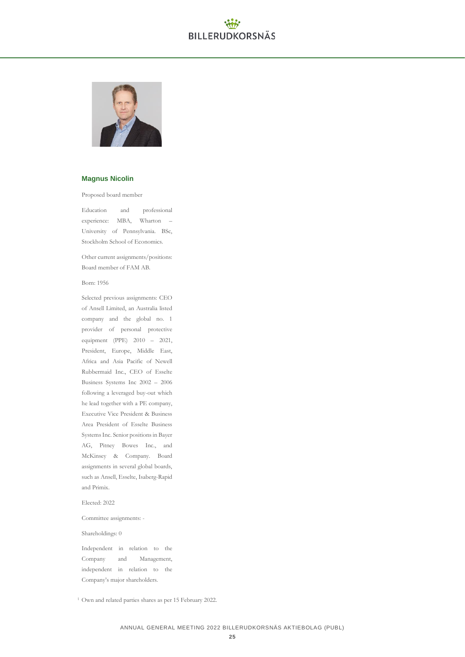

### **Magnus Nicolin**

Proposed board member

Education and professional experience: MBA, Wharton – University of Pennsylvania. BSc, Stockholm School of Economics.

Other current assignments/positions: Board member of FAM AB.

Born: 1956

Selected previous assignments: CEO of Ansell Limited, an Australia listed company and the global no. 1 provider of personal protective equipment (PPE) 2010 – 2021, President, Europe, Middle East, Africa and Asia Pacific of Newell Rubbermaid Inc., CEO of Esselte Business Systems Inc 2002 – 2006 following a leveraged buy-out which he lead together with a PE company, Executive Vice President & Business Area President of Esselte Business Systems Inc. Senior positions in Bayer AG, Pitney Bowes Inc., and McKinsey & Company. Board assignments in several global boards, such as Ansell, Esselte, Isaberg-Rapid and Primix.

Elected: 2022

Committee assignments: -

Shareholdings: 0

Independent in relation to the Company and Management, independent in relation to the Company's major shareholders.

<sup>1</sup> Own and related parties shares as per 15 February 2022.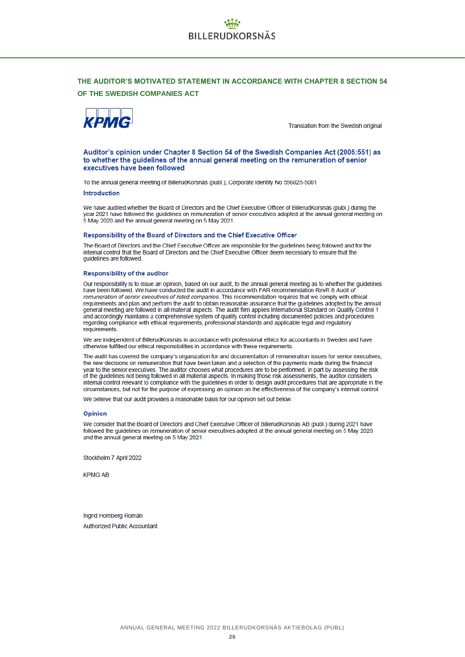### **THE AUDITOR'S MOTIVATED STATEMENT IN ACCORDANCE WITH CHAPTER 8 SECTION 54 OF THE SWEDISH COMPANIES ACT**



Translation from the Swedish original

Auditor's opinion under Chapter 8 Section 54 of the Swedish Companies Act (2005;551) as to whether the quidelines of the annual general meeting on the remuneration of senior executives have been followed

To the annual general meeting of BillerudKorsnäs (publ.), Corporate identity No 556025-5001

#### Introduction

We have audited whether the Board of Directors and the Chief Executive Officer of BillerudKorsnäs (publ.) during the year 2021 have followed the guidelines on remuneration of senior executives adopted at the annual general meeting on 5 May 2020 and the annual general meeting on 5 May 2021.

#### Responsibility of the Board of Directors and the Chief Executive Officer

The Board of Directors and the Chief Executive Officer are responsible for the quidelines being followed and for the internal control that the Board of Directors and the Chief Executive Officer deem necessary to ensure that the guidelines are followed

#### Responsibility of the auditor

Our responsibility is to issue an opinion, based on our audit, to the annual general meeting as to whether the guidelines<br>have been followed. We have conducted the audit in accordance with FAR recommendation RevR 8 Audit o remuneration of senior executives of listed companies. This recommendation requires that we comply with ethical requirements and plan and perform the audit to obtain reasonable assurance that the guidelines adopted by the annual requirements and plan and perform the audit to obtain reasonable assurance that the guidelines adopted by general meeting are followed in all material aspects. The audit firm applies International Standard on Quality Control 1 and accordingly maintains a comprehensive system of quality control including documented policies and procedures<br>regarding compliance with ethical requirements, professional standards and applicable legal and regulatory<br>re requirements.

We are independent of BillerudKorsnäs in accordance with professional ethics for accountants in Sweden and have otherwise fulfilled our ethical responsibilities in accordance with these requirements.

The audit has covered the company's organization for and documentation of remuneration issues for senior executives, the new decisions on remuneration that have been taken and a selection of the payments made during the financial year to the senior executives. The auditor chooses what procedures are to be performed, in part by assessing the risk of the guidelines not being followed in all material aspects. In making those risk assessments, the auditor considers internal control relevant to compliance with the guidelines in order to design audit procedures that are appropriate in the circumstances, but not for the purpose of expressing an opinion on the effectiveness of the company's internal control.

We believe that our audit provides a reasonable basis for our opinion set out below.

#### Opinion

We consider that the Board of Directors and Chief Executive Officer of BillerudKorsnäs AB (publ.) during 2021 have followed the guidelines on remuneration of senior executives adopted at the annual general meeting on 5 May 2020 and the annual general meeting on 5 May 2021.

Stockholm 7 April 2022

**KPMG AB** 

Ingrid Hornberg Román **Authorized Public Accountant**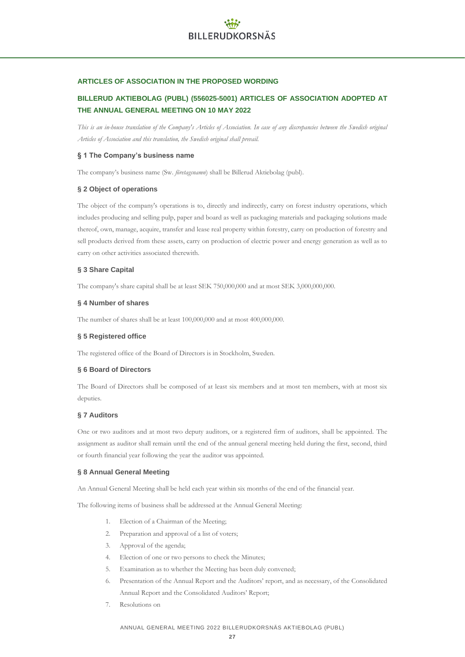### **ARTICLES OF ASSOCIATION IN THE PROPOSED WORDING**

## **BILLERUD AKTIEBOLAG (PUBL) (556025-5001) ARTICLES OF ASSOCIATION ADOPTED AT THE ANNUAL GENERAL MEETING ON 10 MAY 2022**

*This is an in-house translation of the Company's Articles of Association. In case of any discrepancies between the Swedish original Articles of Association and this translation, the Swedish original shall prevail.*

### **§ 1 The Company's business name**

The company's business name (Sw. *företagsnamn*) shall be Billerud Aktiebolag (publ).

### **§ 2 Object of operations**

The object of the company's operations is to, directly and indirectly, carry on forest industry operations, which includes producing and selling pulp, paper and board as well as packaging materials and packaging solutions made thereof, own, manage, acquire, transfer and lease real property within forestry, carry on production of forestry and sell products derived from these assets, carry on production of electric power and energy generation as well as to carry on other activities associated therewith.

### **§ 3 Share Capital**

The company's share capital shall be at least SEK 750,000,000 and at most SEK 3,000,000,000.

### **§ 4 Number of shares**

The number of shares shall be at least 100,000,000 and at most 400,000,000.

### **§ 5 Registered office**

The registered office of the Board of Directors is in Stockholm, Sweden.

### **§ 6 Board of Directors**

The Board of Directors shall be composed of at least six members and at most ten members, with at most six deputies.

### **§ 7 Auditors**

One or two auditors and at most two deputy auditors, or a registered firm of auditors, shall be appointed. The assignment as auditor shall remain until the end of the annual general meeting held during the first, second, third or fourth financial year following the year the auditor was appointed.

### **§ 8 Annual General Meeting**

An Annual General Meeting shall be held each year within six months of the end of the financial year.

The following items of business shall be addressed at the Annual General Meeting:

- 1. Election of a Chairman of the Meeting;
- 2. Preparation and approval of a list of voters;
- 3. Approval of the agenda;
- 4. Election of one or two persons to check the Minutes;
- 5. Examination as to whether the Meeting has been duly convened;
- 6. Presentation of the Annual Report and the Auditors' report, and as necessary, of the Consolidated Annual Report and the Consolidated Auditors' Report;
- 7. Resolutions on

### ANNUAL GENERAL MEETING 2022 BILLERUDKORSNÄS AKTIEBOLAG (PUBL)